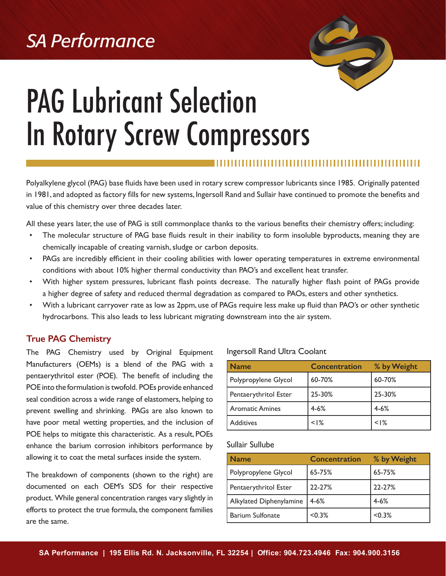## *SA Performance*



# PAG Lubricant Selection In Rotary Screw Compressors

Polyalkylene glycol (PAG) base fluids have been used in rotary screw compressor lubricants since 1985. Originally patented in 1981, and adopted as factory fills for new systems, Ingersoll Rand and Sullair have continued to promote the benefits and value of this chemistry over three decades later.

All these years later, the use of PAG is still commonplace thanks to the various benefits their chemistry offers; including:

- The molecular structure of PAG base fluids result in their inability to form insoluble byproducts, meaning they are chemically incapable of creating varnish, sludge or carbon deposits.
- PAGs are incredibly efficient in their cooling abilities with lower operating temperatures in extreme environmental conditions with about 10% higher thermal conductivity than PAO's and excellent heat transfer.
- With higher system pressures, lubricant flash points decrease. The naturally higher flash point of PAGs provide a higher degree of safety and reduced thermal degradation as compared to PAOs, esters and other synthetics.
- With a lubricant carryover rate as low as 2ppm, use of PAGs require less make up fluid than PAO's or other synthetic hydrocarbons. This also leads to less lubricant migrating downstream into the air system.

### **True PAG Chemistry**

The PAG Chemistry used by Original Equipment Manufacturers (OEMs) is a blend of the PAG with a pentaerythritol ester (POE). The benefit of including the POE into the formulation is twofold. POEs provide enhanced seal condition across a wide range of elastomers, helping to prevent swelling and shrinking. PAGs are also known to have poor metal wetting properties, and the inclusion of POE helps to mitigate this characteristic. As a result, POEs enhance the barium corrosion inhibitors performance by allowing it to coat the metal surfaces inside the system.

The breakdown of components (shown to the right) are documented on each OEM's SDS for their respective product. While general concentration ranges vary slightly in efforts to protect the true formula, the component families are the same.

#### Ingersoll Rand Ultra Coolant

| <b>Name</b>            | <b>Concentration</b> | % by Weight |  |
|------------------------|----------------------|-------------|--|
| Polypropylene Glycol   | 60-70%               | 60-70%      |  |
| Pentaerythritol Ester  | 25-30%               | 25-30%      |  |
| <b>Aromatic Amines</b> | $4 - 6%$             | $4 - 6%$    |  |
| <b>Additives</b>       | $< 1\%$              | $< 1\%$     |  |

Sullair Sullube

| <b>Name</b>             | <b>Concentration</b> | % by Weight |  |
|-------------------------|----------------------|-------------|--|
| Polypropylene Glycol    | 65-75%               | 65-75%      |  |
| Pentaerythritol Ester   | 22-27%               | 22-27%      |  |
| Alkylated Diphenylamine | $4 - 6%$             | $4 - 6%$    |  |
| <b>Barium Sulfonate</b> | < 0.3%               | < 0.3%      |  |